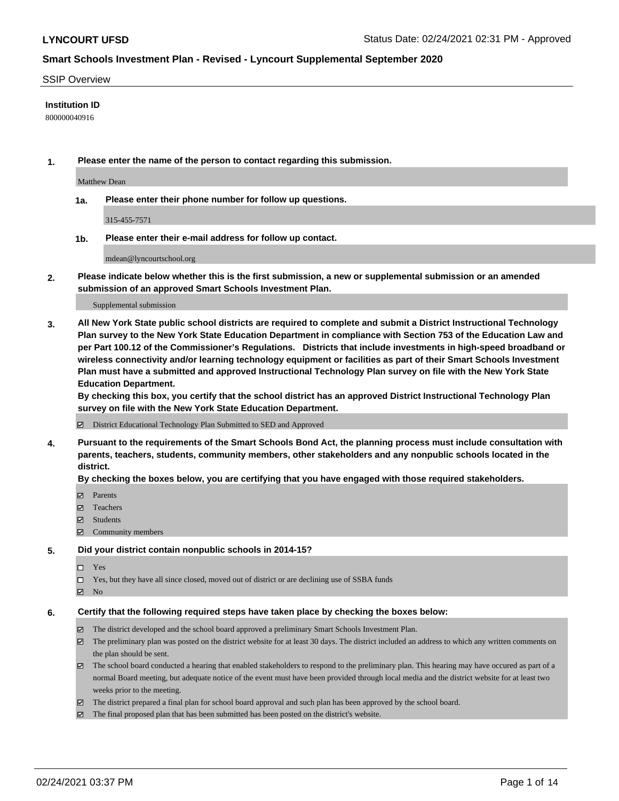#### SSIP Overview

#### **Institution ID**

800000040916

**1. Please enter the name of the person to contact regarding this submission.**

Matthew Dean

**1a. Please enter their phone number for follow up questions.**

315-455-7571

**1b. Please enter their e-mail address for follow up contact.**

mdean@lyncourtschool.org

**2. Please indicate below whether this is the first submission, a new or supplemental submission or an amended submission of an approved Smart Schools Investment Plan.**

#### Supplemental submission

**3. All New York State public school districts are required to complete and submit a District Instructional Technology Plan survey to the New York State Education Department in compliance with Section 753 of the Education Law and per Part 100.12 of the Commissioner's Regulations. Districts that include investments in high-speed broadband or wireless connectivity and/or learning technology equipment or facilities as part of their Smart Schools Investment Plan must have a submitted and approved Instructional Technology Plan survey on file with the New York State Education Department.** 

**By checking this box, you certify that the school district has an approved District Instructional Technology Plan survey on file with the New York State Education Department.**

District Educational Technology Plan Submitted to SED and Approved

**4. Pursuant to the requirements of the Smart Schools Bond Act, the planning process must include consultation with parents, teachers, students, community members, other stakeholders and any nonpublic schools located in the district.** 

#### **By checking the boxes below, you are certifying that you have engaged with those required stakeholders.**

- **Ø** Parents
- Teachers
- Students
- $\Xi$  Community members

#### **5. Did your district contain nonpublic schools in 2014-15?**

- □ Yes
- □ Yes, but they have all since closed, moved out of district or are declining use of SSBA funds
- **Ø** No

### **6. Certify that the following required steps have taken place by checking the boxes below:**

- The district developed and the school board approved a preliminary Smart Schools Investment Plan.
- The preliminary plan was posted on the district website for at least 30 days. The district included an address to which any written comments on the plan should be sent.
- The school board conducted a hearing that enabled stakeholders to respond to the preliminary plan. This hearing may have occured as part of a normal Board meeting, but adequate notice of the event must have been provided through local media and the district website for at least two weeks prior to the meeting.
- The district prepared a final plan for school board approval and such plan has been approved by the school board.
- $\boxtimes$  The final proposed plan that has been submitted has been posted on the district's website.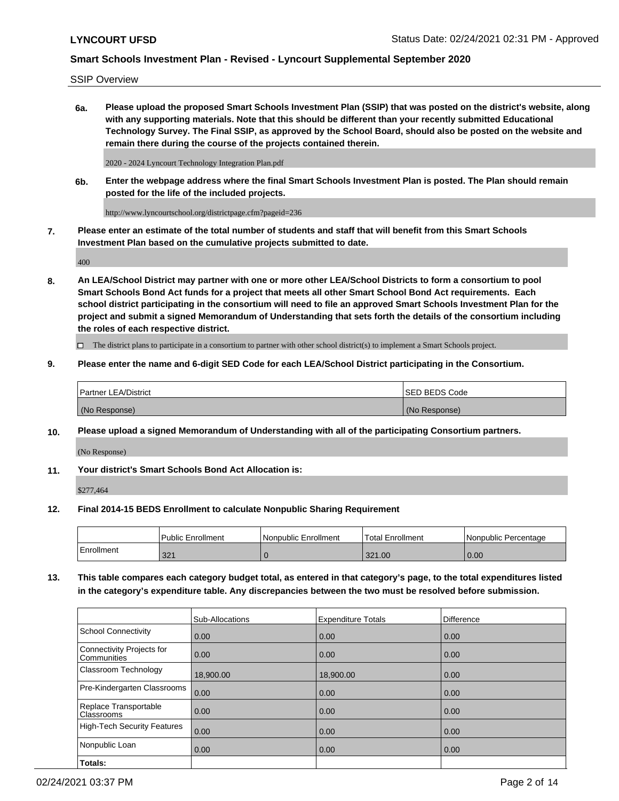SSIP Overview

**6a. Please upload the proposed Smart Schools Investment Plan (SSIP) that was posted on the district's website, along with any supporting materials. Note that this should be different than your recently submitted Educational Technology Survey. The Final SSIP, as approved by the School Board, should also be posted on the website and remain there during the course of the projects contained therein.**

2020 - 2024 Lyncourt Technology Integration Plan.pdf

**6b. Enter the webpage address where the final Smart Schools Investment Plan is posted. The Plan should remain posted for the life of the included projects.**

http://www.lyncourtschool.org/districtpage.cfm?pageid=236

**7. Please enter an estimate of the total number of students and staff that will benefit from this Smart Schools Investment Plan based on the cumulative projects submitted to date.**

400

**8. An LEA/School District may partner with one or more other LEA/School Districts to form a consortium to pool Smart Schools Bond Act funds for a project that meets all other Smart School Bond Act requirements. Each school district participating in the consortium will need to file an approved Smart Schools Investment Plan for the project and submit a signed Memorandum of Understanding that sets forth the details of the consortium including the roles of each respective district.**

 $\Box$  The district plans to participate in a consortium to partner with other school district(s) to implement a Smart Schools project.

### **9. Please enter the name and 6-digit SED Code for each LEA/School District participating in the Consortium.**

| Partner LEA/District | <b>ISED BEDS Code</b> |
|----------------------|-----------------------|
| (No Response)        | (No Response)         |

### **10. Please upload a signed Memorandum of Understanding with all of the participating Consortium partners.**

(No Response)

**11. Your district's Smart Schools Bond Act Allocation is:**

\$277,464

#### **12. Final 2014-15 BEDS Enrollment to calculate Nonpublic Sharing Requirement**

|            | Public Enrollment | Nonpublic Enrollment | Total Enrollment | INonpublic Percentage |
|------------|-------------------|----------------------|------------------|-----------------------|
| Enrollment | 321               |                      | 321.00           | 0.00                  |

**13. This table compares each category budget total, as entered in that category's page, to the total expenditures listed in the category's expenditure table. Any discrepancies between the two must be resolved before submission.**

|                                          | Sub-Allocations | <b>Expenditure Totals</b> | <b>Difference</b> |
|------------------------------------------|-----------------|---------------------------|-------------------|
| <b>School Connectivity</b>               | 0.00            | 0.00                      | 0.00              |
| Connectivity Projects for<br>Communities | 0.00            | 0.00                      | 0.00              |
| Classroom Technology                     | 18,900.00       | 18,900.00                 | 0.00              |
| Pre-Kindergarten Classrooms              | 0.00            | 0.00                      | 0.00              |
| Replace Transportable<br>Classrooms      | 0.00            | 0.00                      | 0.00              |
| <b>High-Tech Security Features</b>       | 0.00            | 0.00                      | 0.00              |
| Nonpublic Loan                           | 0.00            | 0.00                      | 0.00              |
| Totals:                                  |                 |                           |                   |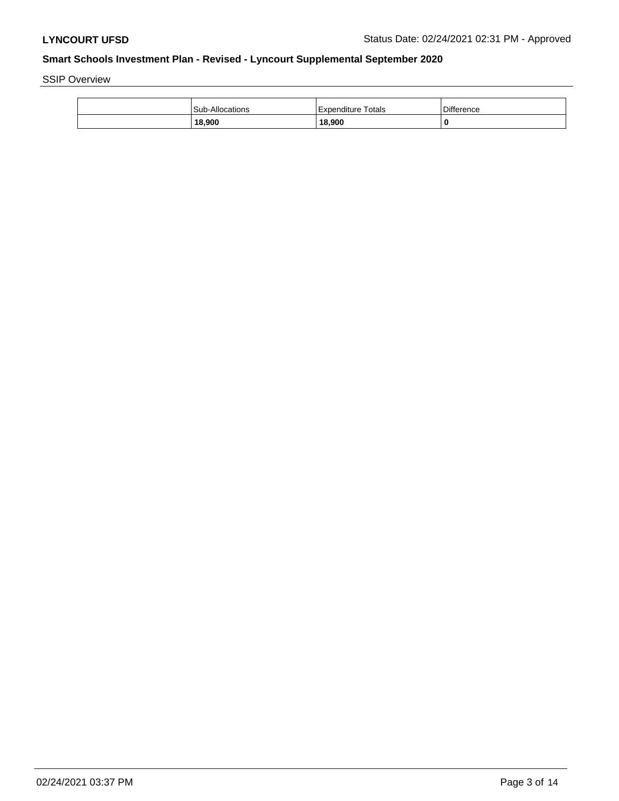SSIP Overview

| <b>Sub-Allocations</b> | Expenditure Totals | <b>Difference</b> |
|------------------------|--------------------|-------------------|
| 18,900                 | 18,900             | 0                 |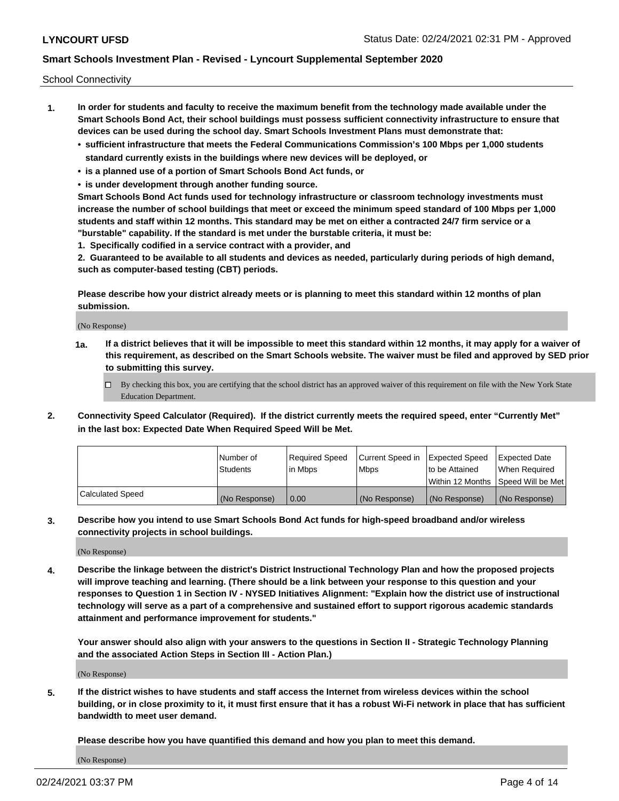School Connectivity

- **1. In order for students and faculty to receive the maximum benefit from the technology made available under the Smart Schools Bond Act, their school buildings must possess sufficient connectivity infrastructure to ensure that devices can be used during the school day. Smart Schools Investment Plans must demonstrate that:**
	- **• sufficient infrastructure that meets the Federal Communications Commission's 100 Mbps per 1,000 students standard currently exists in the buildings where new devices will be deployed, or**
	- **• is a planned use of a portion of Smart Schools Bond Act funds, or**
	- **• is under development through another funding source.**

**Smart Schools Bond Act funds used for technology infrastructure or classroom technology investments must increase the number of school buildings that meet or exceed the minimum speed standard of 100 Mbps per 1,000 students and staff within 12 months. This standard may be met on either a contracted 24/7 firm service or a "burstable" capability. If the standard is met under the burstable criteria, it must be:**

**1. Specifically codified in a service contract with a provider, and**

**2. Guaranteed to be available to all students and devices as needed, particularly during periods of high demand, such as computer-based testing (CBT) periods.**

**Please describe how your district already meets or is planning to meet this standard within 12 months of plan submission.**

(No Response)

**1a. If a district believes that it will be impossible to meet this standard within 12 months, it may apply for a waiver of this requirement, as described on the Smart Schools website. The waiver must be filed and approved by SED prior to submitting this survey.**

 $\Box$  By checking this box, you are certifying that the school district has an approved waiver of this requirement on file with the New York State Education Department.

**2. Connectivity Speed Calculator (Required). If the district currently meets the required speed, enter "Currently Met" in the last box: Expected Date When Required Speed Will be Met.**

|                  | l Number of     | Required Speed | Current Speed in | Expected Speed | Expected Date                           |
|------------------|-----------------|----------------|------------------|----------------|-----------------------------------------|
|                  | <b>Students</b> | In Mbps        | l Mbps           | to be Attained | When Required                           |
|                  |                 |                |                  |                | l Within 12 Months ISpeed Will be Met l |
| Calculated Speed | (No Response)   | 0.00           | (No Response)    | (No Response)  | (No Response)                           |

**3. Describe how you intend to use Smart Schools Bond Act funds for high-speed broadband and/or wireless connectivity projects in school buildings.**

(No Response)

**4. Describe the linkage between the district's District Instructional Technology Plan and how the proposed projects will improve teaching and learning. (There should be a link between your response to this question and your responses to Question 1 in Section IV - NYSED Initiatives Alignment: "Explain how the district use of instructional technology will serve as a part of a comprehensive and sustained effort to support rigorous academic standards attainment and performance improvement for students."** 

**Your answer should also align with your answers to the questions in Section II - Strategic Technology Planning and the associated Action Steps in Section III - Action Plan.)**

(No Response)

**5. If the district wishes to have students and staff access the Internet from wireless devices within the school building, or in close proximity to it, it must first ensure that it has a robust Wi-Fi network in place that has sufficient bandwidth to meet user demand.**

**Please describe how you have quantified this demand and how you plan to meet this demand.**

(No Response)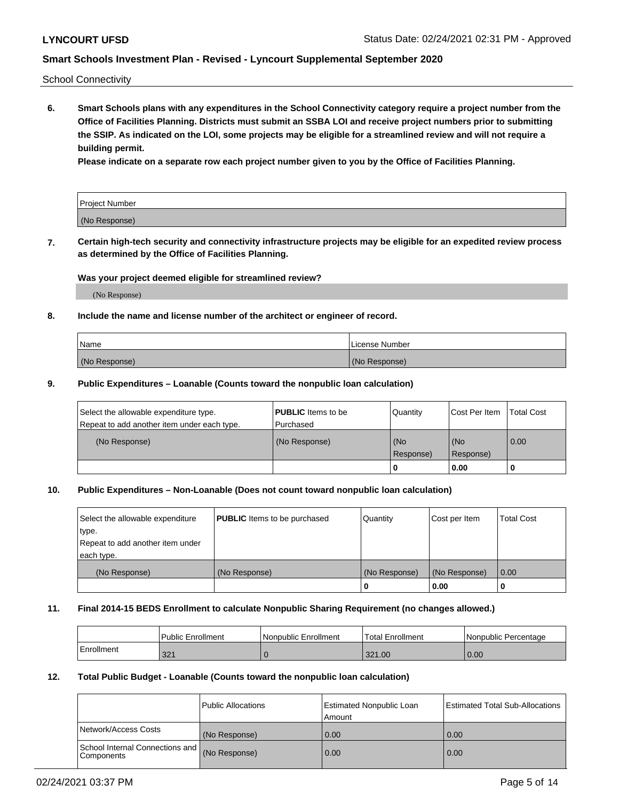School Connectivity

**6. Smart Schools plans with any expenditures in the School Connectivity category require a project number from the Office of Facilities Planning. Districts must submit an SSBA LOI and receive project numbers prior to submitting the SSIP. As indicated on the LOI, some projects may be eligible for a streamlined review and will not require a building permit.**

**Please indicate on a separate row each project number given to you by the Office of Facilities Planning.**

| Project Number |  |
|----------------|--|
| (No Response)  |  |

**7. Certain high-tech security and connectivity infrastructure projects may be eligible for an expedited review process as determined by the Office of Facilities Planning.**

### **Was your project deemed eligible for streamlined review?**

(No Response)

### **8. Include the name and license number of the architect or engineer of record.**

| Name          | License Number |
|---------------|----------------|
| (No Response) | (No Response)  |

#### **9. Public Expenditures – Loanable (Counts toward the nonpublic loan calculation)**

| Select the allowable expenditure type.<br>Repeat to add another item under each type. | <b>PUBLIC</b> Items to be<br>l Purchased | Quantity         | l Cost Per Item  | <b>Total Cost</b> |
|---------------------------------------------------------------------------------------|------------------------------------------|------------------|------------------|-------------------|
| (No Response)                                                                         | (No Response)                            | (No<br>Response) | (No<br>Response) | 0.00              |
|                                                                                       |                                          | 0                | 0.00             |                   |

### **10. Public Expenditures – Non-Loanable (Does not count toward nonpublic loan calculation)**

| Select the allowable expenditure<br>type.      | <b>PUBLIC</b> Items to be purchased | Quantity      | Cost per Item | <b>Total Cost</b> |
|------------------------------------------------|-------------------------------------|---------------|---------------|-------------------|
| Repeat to add another item under<br>each type. |                                     |               |               |                   |
| (No Response)                                  | (No Response)                       | (No Response) | (No Response) | 0.00              |
|                                                |                                     |               | 0.00          |                   |

#### **11. Final 2014-15 BEDS Enrollment to calculate Nonpublic Sharing Requirement (no changes allowed.)**

|            | Public Enrollment | Nonpublic Enrollment | <b>Total Enrollment</b> | l Nonpublic Percentage |
|------------|-------------------|----------------------|-------------------------|------------------------|
| Enrollment | 224<br>32.        |                      | 321.00                  | 0.00                   |

### **12. Total Public Budget - Loanable (Counts toward the nonpublic loan calculation)**

|                                               | Public Allocations | <b>Estimated Nonpublic Loan</b><br>Amount | Estimated Total Sub-Allocations |
|-----------------------------------------------|--------------------|-------------------------------------------|---------------------------------|
| Network/Access Costs                          | (No Response)      | 0.00                                      | 0.00                            |
| School Internal Connections and<br>Components | (No Response)      | 0.00                                      | 0.00                            |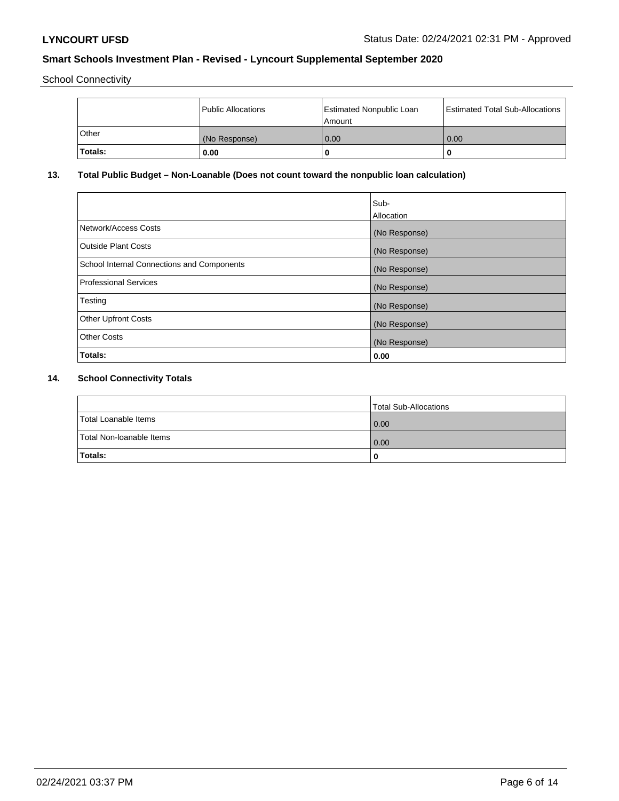School Connectivity

|              | <b>Public Allocations</b> | <b>Estimated Nonpublic Loan</b><br>l Amount | <b>Estimated Total Sub-Allocations</b> |
|--------------|---------------------------|---------------------------------------------|----------------------------------------|
| <b>Other</b> | (No Response)             | 0.00                                        | 0.00                                   |
| Totals:      | 0.00                      | 0                                           | ш                                      |

# **13. Total Public Budget – Non-Loanable (Does not count toward the nonpublic loan calculation)**

|                                                   | Sub-<br>Allocation |
|---------------------------------------------------|--------------------|
| Network/Access Costs                              | (No Response)      |
| <b>Outside Plant Costs</b>                        | (No Response)      |
| <b>School Internal Connections and Components</b> | (No Response)      |
| Professional Services                             | (No Response)      |
| Testing                                           | (No Response)      |
| <b>Other Upfront Costs</b>                        | (No Response)      |
| <b>Other Costs</b>                                | (No Response)      |
| <b>Totals:</b>                                    | 0.00               |

# **14. School Connectivity Totals**

|                          | Total Sub-Allocations |
|--------------------------|-----------------------|
| Total Loanable Items     | 0.00                  |
| Total Non-Ioanable Items | 0.00                  |
| Totals:                  | 0                     |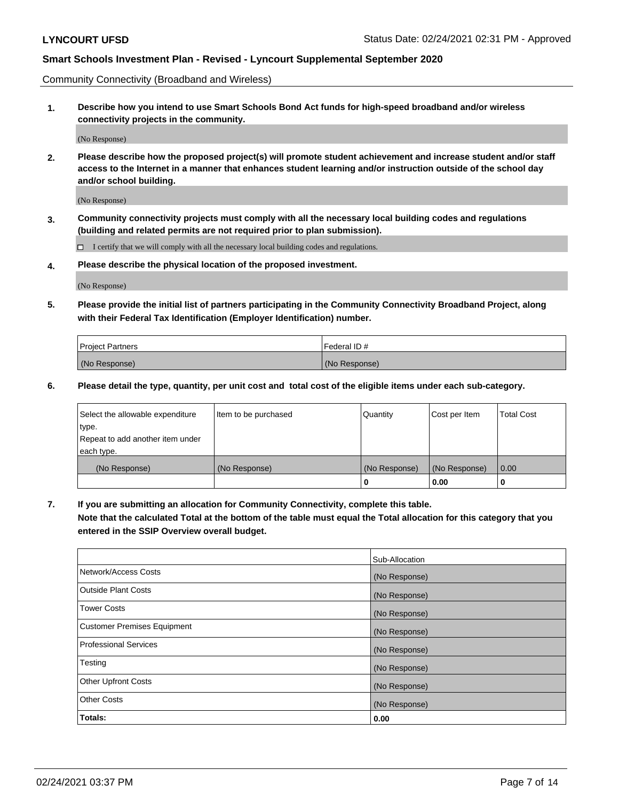Community Connectivity (Broadband and Wireless)

**1. Describe how you intend to use Smart Schools Bond Act funds for high-speed broadband and/or wireless connectivity projects in the community.**

(No Response)

**2. Please describe how the proposed project(s) will promote student achievement and increase student and/or staff access to the Internet in a manner that enhances student learning and/or instruction outside of the school day and/or school building.**

(No Response)

**3. Community connectivity projects must comply with all the necessary local building codes and regulations (building and related permits are not required prior to plan submission).**

 $\Box$  I certify that we will comply with all the necessary local building codes and regulations.

**4. Please describe the physical location of the proposed investment.**

(No Response)

**5. Please provide the initial list of partners participating in the Community Connectivity Broadband Project, along with their Federal Tax Identification (Employer Identification) number.**

| <b>Project Partners</b> | l Federal ID # |
|-------------------------|----------------|
| (No Response)           | (No Response)  |

**6. Please detail the type, quantity, per unit cost and total cost of the eligible items under each sub-category.**

| Select the allowable expenditure | Item to be purchased | Quantity      | Cost per Item | <b>Total Cost</b> |
|----------------------------------|----------------------|---------------|---------------|-------------------|
| type.                            |                      |               |               |                   |
| Repeat to add another item under |                      |               |               |                   |
| each type.                       |                      |               |               |                   |
| (No Response)                    | (No Response)        | (No Response) | (No Response) | 0.00              |
|                                  |                      | o             | 0.00          |                   |

**7. If you are submitting an allocation for Community Connectivity, complete this table.**

**Note that the calculated Total at the bottom of the table must equal the Total allocation for this category that you entered in the SSIP Overview overall budget.**

|                                    | Sub-Allocation |
|------------------------------------|----------------|
| Network/Access Costs               | (No Response)  |
| Outside Plant Costs                | (No Response)  |
| <b>Tower Costs</b>                 | (No Response)  |
| <b>Customer Premises Equipment</b> | (No Response)  |
| <b>Professional Services</b>       | (No Response)  |
| Testing                            | (No Response)  |
| <b>Other Upfront Costs</b>         | (No Response)  |
| <b>Other Costs</b>                 | (No Response)  |
| Totals:                            | 0.00           |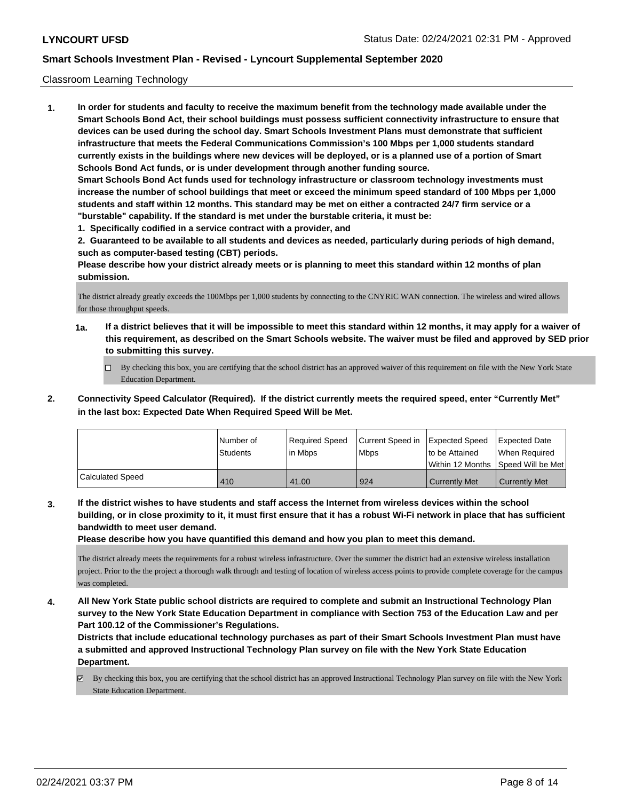### Classroom Learning Technology

**1. In order for students and faculty to receive the maximum benefit from the technology made available under the Smart Schools Bond Act, their school buildings must possess sufficient connectivity infrastructure to ensure that devices can be used during the school day. Smart Schools Investment Plans must demonstrate that sufficient infrastructure that meets the Federal Communications Commission's 100 Mbps per 1,000 students standard currently exists in the buildings where new devices will be deployed, or is a planned use of a portion of Smart Schools Bond Act funds, or is under development through another funding source. Smart Schools Bond Act funds used for technology infrastructure or classroom technology investments must increase the number of school buildings that meet or exceed the minimum speed standard of 100 Mbps per 1,000 students and staff within 12 months. This standard may be met on either a contracted 24/7 firm service or a "burstable" capability. If the standard is met under the burstable criteria, it must be:**

**1. Specifically codified in a service contract with a provider, and**

**2. Guaranteed to be available to all students and devices as needed, particularly during periods of high demand, such as computer-based testing (CBT) periods.**

**Please describe how your district already meets or is planning to meet this standard within 12 months of plan submission.**

The district already greatly exceeds the 100Mbps per 1,000 students by connecting to the CNYRIC WAN connection. The wireless and wired allows for those throughput speeds.

- **1a. If a district believes that it will be impossible to meet this standard within 12 months, it may apply for a waiver of this requirement, as described on the Smart Schools website. The waiver must be filed and approved by SED prior to submitting this survey.**
	- By checking this box, you are certifying that the school district has an approved waiver of this requirement on file with the New York State Education Department.
- **2. Connectivity Speed Calculator (Required). If the district currently meets the required speed, enter "Currently Met" in the last box: Expected Date When Required Speed Will be Met.**

|                  | INumber of<br><b>Students</b> | Required Speed<br>l in Mbps | Current Speed in<br>l Mbps | Expected Speed<br>Ito be Attained | Expected Date<br>When Required<br>Within 12 Months Speed Will be Met |
|------------------|-------------------------------|-----------------------------|----------------------------|-----------------------------------|----------------------------------------------------------------------|
| Calculated Speed | 410                           | 41.00                       | 924                        | Currently Met                     | <b>Currently Met</b>                                                 |

**3. If the district wishes to have students and staff access the Internet from wireless devices within the school building, or in close proximity to it, it must first ensure that it has a robust Wi-Fi network in place that has sufficient bandwidth to meet user demand.**

**Please describe how you have quantified this demand and how you plan to meet this demand.**

The district already meets the requirements for a robust wireless infrastructure. Over the summer the district had an extensive wireless installation project. Prior to the the project a thorough walk through and testing of location of wireless access points to provide complete coverage for the campus was completed.

**4. All New York State public school districts are required to complete and submit an Instructional Technology Plan survey to the New York State Education Department in compliance with Section 753 of the Education Law and per Part 100.12 of the Commissioner's Regulations.**

**Districts that include educational technology purchases as part of their Smart Schools Investment Plan must have a submitted and approved Instructional Technology Plan survey on file with the New York State Education Department.**

 $\boxtimes$  By checking this box, you are certifying that the school district has an approved Instructional Technology Plan survey on file with the New York State Education Department.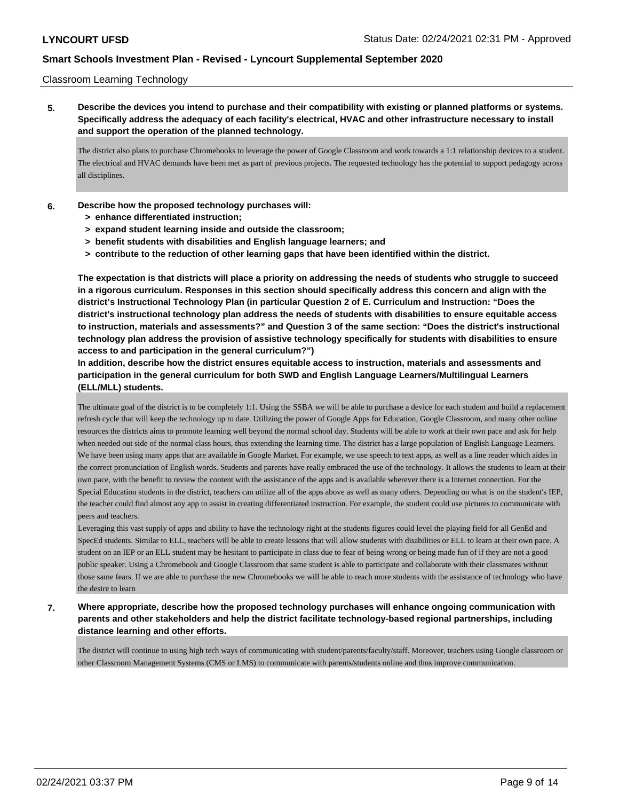### Classroom Learning Technology

**5. Describe the devices you intend to purchase and their compatibility with existing or planned platforms or systems. Specifically address the adequacy of each facility's electrical, HVAC and other infrastructure necessary to install and support the operation of the planned technology.**

The district also plans to purchase Chromebooks to leverage the power of Google Classroom and work towards a 1:1 relationship devices to a student. The electrical and HVAC demands have been met as part of previous projects. The requested technology has the potential to support pedagogy across all disciplines.

### **6. Describe how the proposed technology purchases will:**

- **> enhance differentiated instruction;**
- **> expand student learning inside and outside the classroom;**
- **> benefit students with disabilities and English language learners; and**
- **> contribute to the reduction of other learning gaps that have been identified within the district.**

**The expectation is that districts will place a priority on addressing the needs of students who struggle to succeed in a rigorous curriculum. Responses in this section should specifically address this concern and align with the district's Instructional Technology Plan (in particular Question 2 of E. Curriculum and Instruction: "Does the district's instructional technology plan address the needs of students with disabilities to ensure equitable access to instruction, materials and assessments?" and Question 3 of the same section: "Does the district's instructional technology plan address the provision of assistive technology specifically for students with disabilities to ensure access to and participation in the general curriculum?")**

**In addition, describe how the district ensures equitable access to instruction, materials and assessments and participation in the general curriculum for both SWD and English Language Learners/Multilingual Learners (ELL/MLL) students.**

The ultimate goal of the district is to be completely 1:1. Using the SSBA we will be able to purchase a device for each student and build a replacement refresh cycle that will keep the technology up to date. Utilizing the power of Google Apps for Education, Google Classroom, and many other online resources the districts aims to promote learning well beyond the normal school day. Students will be able to work at their own pace and ask for help when needed out side of the normal class hours, thus extending the learning time. The district has a large population of English Language Learners. We have been using many apps that are available in Google Market. For example, we use speech to text apps, as well as a line reader which aides in the correct pronunciation of English words. Students and parents have really embraced the use of the technology. It allows the students to learn at their own pace, with the benefit to review the content with the assistance of the apps and is available wherever there is a Internet connection. For the Special Education students in the district, teachers can utilize all of the apps above as well as many others. Depending on what is on the student's IEP, the teacher could find almost any app to assist in creating differentiated instruction. For example, the student could use pictures to communicate with peers and teachers.

Leveraging this vast supply of apps and ability to have the technology right at the students figures could level the playing field for all GenEd and SpecEd students. Similar to ELL, teachers will be able to create lessons that will allow students with disabilities or ELL to learn at their own pace. A student on an IEP or an ELL student may be hesitant to participate in class due to fear of being wrong or being made fun of if they are not a good public speaker. Using a Chromebook and Google Classroom that same student is able to participate and collaborate with their classmates without those same fears. If we are able to purchase the new Chromebooks we will be able to reach more students with the assistance of technology who have the desire to learn

**7. Where appropriate, describe how the proposed technology purchases will enhance ongoing communication with parents and other stakeholders and help the district facilitate technology-based regional partnerships, including distance learning and other efforts.**

The district will continue to using high tech ways of communicating with student/parents/faculty/staff. Moreover, teachers using Google classroom or other Classroom Management Systems (CMS or LMS) to communicate with parents/students online and thus improve communication.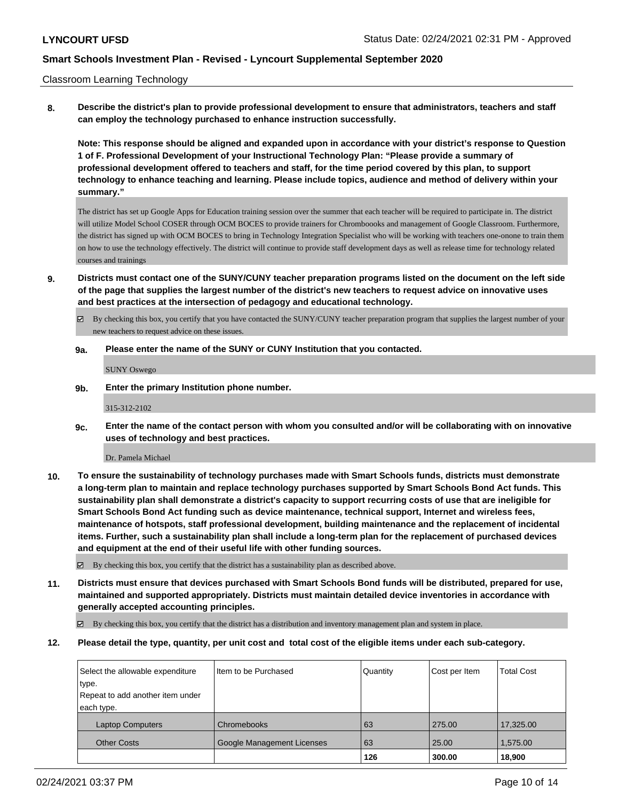#### Classroom Learning Technology

**8. Describe the district's plan to provide professional development to ensure that administrators, teachers and staff can employ the technology purchased to enhance instruction successfully.**

**Note: This response should be aligned and expanded upon in accordance with your district's response to Question 1 of F. Professional Development of your Instructional Technology Plan: "Please provide a summary of professional development offered to teachers and staff, for the time period covered by this plan, to support technology to enhance teaching and learning. Please include topics, audience and method of delivery within your summary."**

The district has set up Google Apps for Education training session over the summer that each teacher will be required to participate in. The district will utilize Model School COSER through OCM BOCES to provide trainers for Chromboooks and management of Google Classroom. Furthermore, the district has signed up with OCM BOCES to bring in Technology Integration Specialist who will be working with teachers one-onone to train them on how to use the technology effectively. The district will continue to provide staff development days as well as release time for technology related courses and trainings

- **9. Districts must contact one of the SUNY/CUNY teacher preparation programs listed on the document on the left side of the page that supplies the largest number of the district's new teachers to request advice on innovative uses and best practices at the intersection of pedagogy and educational technology.**
	- By checking this box, you certify that you have contacted the SUNY/CUNY teacher preparation program that supplies the largest number of your new teachers to request advice on these issues.

#### **9a. Please enter the name of the SUNY or CUNY Institution that you contacted.**

SUNY Oswego

**9b. Enter the primary Institution phone number.**

315-312-2102

**9c. Enter the name of the contact person with whom you consulted and/or will be collaborating with on innovative uses of technology and best practices.**

Dr. Pamela Michael

**10. To ensure the sustainability of technology purchases made with Smart Schools funds, districts must demonstrate a long-term plan to maintain and replace technology purchases supported by Smart Schools Bond Act funds. This sustainability plan shall demonstrate a district's capacity to support recurring costs of use that are ineligible for Smart Schools Bond Act funding such as device maintenance, technical support, Internet and wireless fees, maintenance of hotspots, staff professional development, building maintenance and the replacement of incidental items. Further, such a sustainability plan shall include a long-term plan for the replacement of purchased devices and equipment at the end of their useful life with other funding sources.**

 $\boxtimes$  By checking this box, you certify that the district has a sustainability plan as described above.

**11. Districts must ensure that devices purchased with Smart Schools Bond funds will be distributed, prepared for use, maintained and supported appropriately. Districts must maintain detailed device inventories in accordance with generally accepted accounting principles.**

By checking this box, you certify that the district has a distribution and inventory management plan and system in place.

**12. Please detail the type, quantity, per unit cost and total cost of the eligible items under each sub-category.**

| Select the allowable expenditure | I Item to be Purchased            | Quantity | Cost per Item | <b>Total Cost</b> |
|----------------------------------|-----------------------------------|----------|---------------|-------------------|
| type.                            |                                   |          |               |                   |
| Repeat to add another item under |                                   |          |               |                   |
| each type.                       |                                   |          |               |                   |
| <b>Laptop Computers</b>          | Chromebooks                       | 63       | 275.00        | 17,325.00         |
| <b>Other Costs</b>               | <b>Google Management Licenses</b> | 63       | 25.00         | 1,575.00          |
|                                  |                                   | 126      | 300.00        | 18,900            |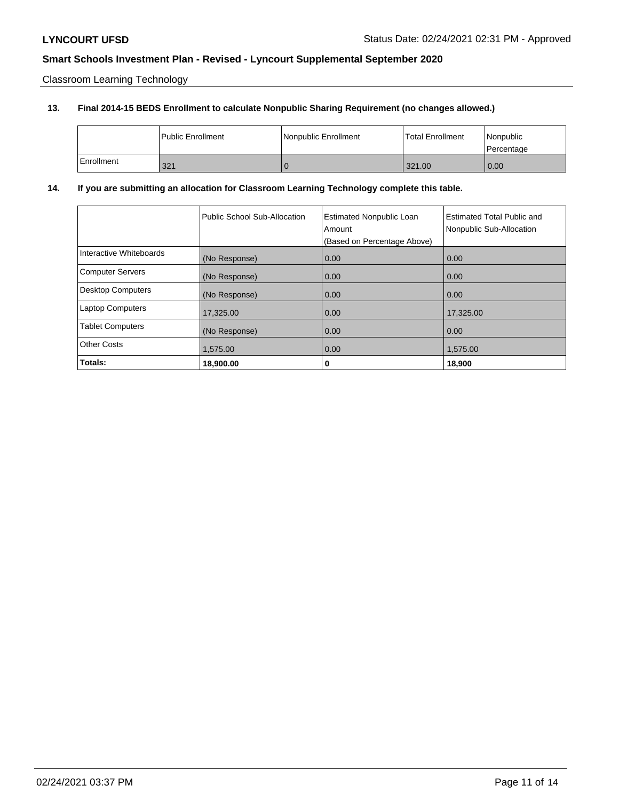Classroom Learning Technology

### **13. Final 2014-15 BEDS Enrollment to calculate Nonpublic Sharing Requirement (no changes allowed.)**

|            | <b>Public Enrollment</b> | Nonpublic Enrollment | <b>Total Enrollment</b> | Nonpublic<br>l Percentage |
|------------|--------------------------|----------------------|-------------------------|---------------------------|
| Enrollment | 321                      | v                    | 321.00                  | 0.00                      |

### **14. If you are submitting an allocation for Classroom Learning Technology complete this table.**

|                          | Public School Sub-Allocation | <b>Estimated Nonpublic Loan</b><br>Amount<br>(Based on Percentage Above) | <b>Estimated Total Public and</b><br>Nonpublic Sub-Allocation |
|--------------------------|------------------------------|--------------------------------------------------------------------------|---------------------------------------------------------------|
| Interactive Whiteboards  | (No Response)                | 0.00                                                                     | 0.00                                                          |
| <b>Computer Servers</b>  | (No Response)                | 0.00                                                                     | 0.00                                                          |
| <b>Desktop Computers</b> | (No Response)                | 0.00                                                                     | 0.00                                                          |
| <b>Laptop Computers</b>  | 17,325.00                    | 0.00                                                                     | 17.325.00                                                     |
| <b>Tablet Computers</b>  | (No Response)                | 0.00                                                                     | 0.00                                                          |
| <b>Other Costs</b>       | 1,575.00                     | 0.00                                                                     | 1,575.00                                                      |
| Totals:                  | 18,900.00                    | 0                                                                        | 18,900                                                        |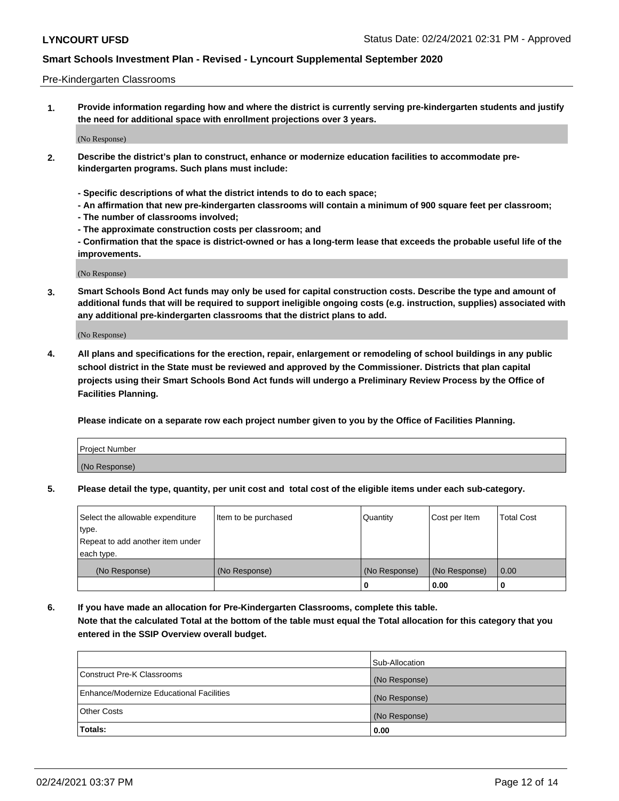#### Pre-Kindergarten Classrooms

**1. Provide information regarding how and where the district is currently serving pre-kindergarten students and justify the need for additional space with enrollment projections over 3 years.**

(No Response)

- **2. Describe the district's plan to construct, enhance or modernize education facilities to accommodate prekindergarten programs. Such plans must include:**
	- **Specific descriptions of what the district intends to do to each space;**
	- **An affirmation that new pre-kindergarten classrooms will contain a minimum of 900 square feet per classroom;**
	- **The number of classrooms involved;**
	- **The approximate construction costs per classroom; and**
	- **Confirmation that the space is district-owned or has a long-term lease that exceeds the probable useful life of the improvements.**

(No Response)

**3. Smart Schools Bond Act funds may only be used for capital construction costs. Describe the type and amount of additional funds that will be required to support ineligible ongoing costs (e.g. instruction, supplies) associated with any additional pre-kindergarten classrooms that the district plans to add.**

(No Response)

**4. All plans and specifications for the erection, repair, enlargement or remodeling of school buildings in any public school district in the State must be reviewed and approved by the Commissioner. Districts that plan capital projects using their Smart Schools Bond Act funds will undergo a Preliminary Review Process by the Office of Facilities Planning.**

**Please indicate on a separate row each project number given to you by the Office of Facilities Planning.**

| Project Number |  |
|----------------|--|
| (No Response)  |  |
|                |  |

**5. Please detail the type, quantity, per unit cost and total cost of the eligible items under each sub-category.**

| Select the allowable expenditure | Item to be purchased | Quantity      | Cost per Item | <b>Total Cost</b> |
|----------------------------------|----------------------|---------------|---------------|-------------------|
| type.                            |                      |               |               |                   |
| Repeat to add another item under |                      |               |               |                   |
| each type.                       |                      |               |               |                   |
| (No Response)                    | (No Response)        | (No Response) | (No Response) | 0.00              |
|                                  |                      | U             | 0.00          |                   |

**6. If you have made an allocation for Pre-Kindergarten Classrooms, complete this table. Note that the calculated Total at the bottom of the table must equal the Total allocation for this category that you entered in the SSIP Overview overall budget.**

|                                          | Sub-Allocation |
|------------------------------------------|----------------|
| Construct Pre-K Classrooms               | (No Response)  |
| Enhance/Modernize Educational Facilities | (No Response)  |
| <b>Other Costs</b>                       | (No Response)  |
| Totals:                                  | 0.00           |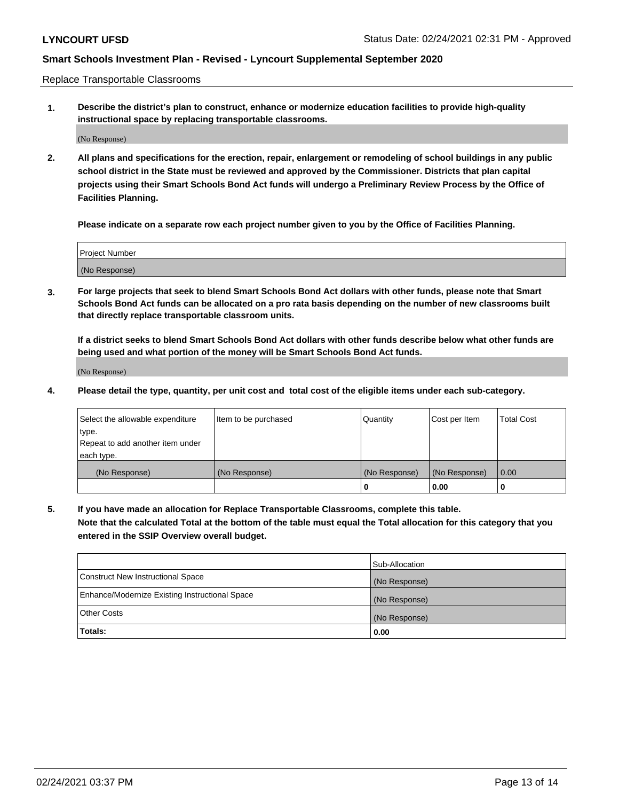Replace Transportable Classrooms

**1. Describe the district's plan to construct, enhance or modernize education facilities to provide high-quality instructional space by replacing transportable classrooms.**

(No Response)

**2. All plans and specifications for the erection, repair, enlargement or remodeling of school buildings in any public school district in the State must be reviewed and approved by the Commissioner. Districts that plan capital projects using their Smart Schools Bond Act funds will undergo a Preliminary Review Process by the Office of Facilities Planning.**

**Please indicate on a separate row each project number given to you by the Office of Facilities Planning.**

| Project Number |  |
|----------------|--|
|                |  |
|                |  |
|                |  |
|                |  |
| (No Response)  |  |
|                |  |
|                |  |
|                |  |

**3. For large projects that seek to blend Smart Schools Bond Act dollars with other funds, please note that Smart Schools Bond Act funds can be allocated on a pro rata basis depending on the number of new classrooms built that directly replace transportable classroom units.**

**If a district seeks to blend Smart Schools Bond Act dollars with other funds describe below what other funds are being used and what portion of the money will be Smart Schools Bond Act funds.**

(No Response)

**4. Please detail the type, quantity, per unit cost and total cost of the eligible items under each sub-category.**

| Select the allowable expenditure | Item to be purchased | Quantity      | Cost per Item | Total Cost |
|----------------------------------|----------------------|---------------|---------------|------------|
| ∣type.                           |                      |               |               |            |
| Repeat to add another item under |                      |               |               |            |
| each type.                       |                      |               |               |            |
| (No Response)                    | (No Response)        | (No Response) | (No Response) | 0.00       |
|                                  |                      | u             | 0.00          |            |

**5. If you have made an allocation for Replace Transportable Classrooms, complete this table. Note that the calculated Total at the bottom of the table must equal the Total allocation for this category that you entered in the SSIP Overview overall budget.**

|                                                | Sub-Allocation |
|------------------------------------------------|----------------|
| Construct New Instructional Space              | (No Response)  |
| Enhance/Modernize Existing Instructional Space | (No Response)  |
| <b>Other Costs</b>                             | (No Response)  |
| Totals:                                        | 0.00           |